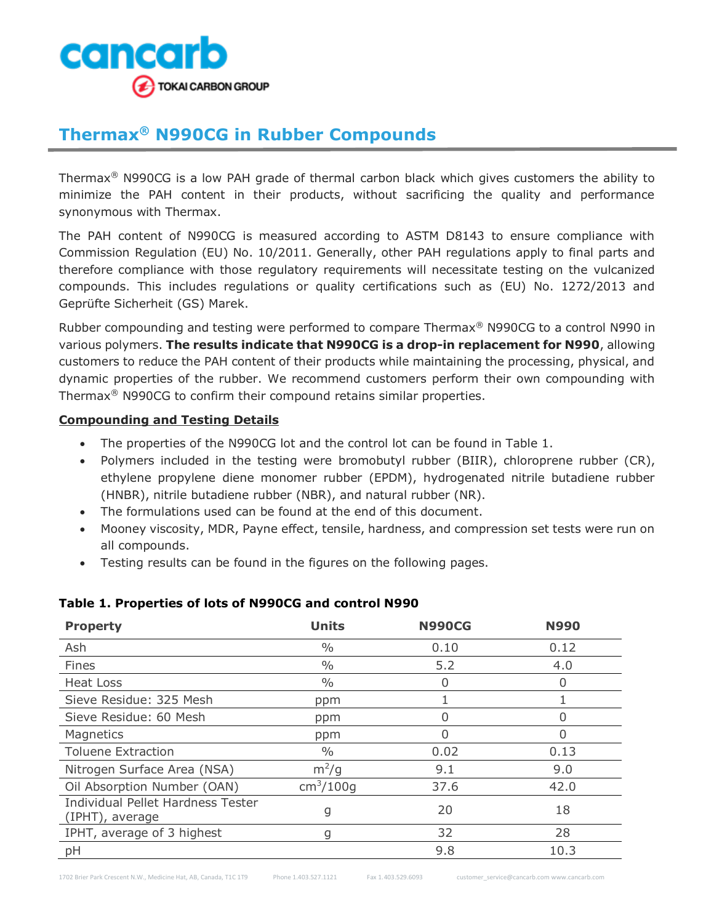

# **Thermax® N990CG in Rubber Compounds**

Thermax® N990CG is a low PAH grade of thermal carbon black which gives customers the ability to minimize the PAH content in their products, without sacrificing the quality and performance synonymous with Thermax.

The PAH content of N990CG is measured according to ASTM D8143 to ensure compliance with Commission Regulation (EU) No. 10/2011. Generally, other PAH regulations apply to final parts and therefore compliance with those regulatory requirements will necessitate testing on the vulcanized compounds. This includes regulations or quality certifications such as (EU) No. 1272/2013 and Geprüfte Sicherheit (GS) Marek.

Rubber compounding and testing were performed to compare Thermax® N990CG to a control N990 in various polymers. **The results indicate that N990CG is a drop-in replacement for N990**, allowing customers to reduce the PAH content of their products while maintaining the processing, physical, and dynamic properties of the rubber. We recommend customers perform their own compounding with Thermax® N990CG to confirm their compound retains similar properties.

#### **Compounding and Testing Details**

- The properties of the N990CG lot and the control lot can be found in Table 1.
- Polymers included in the testing were bromobutyl rubber (BIIR), chloroprene rubber (CR), ethylene propylene diene monomer rubber (EPDM), hydrogenated nitrile butadiene rubber (HNBR), nitrile butadiene rubber (NBR), and natural rubber (NR).
- The formulations used can be found at the end of this document.
- Mooney viscosity, MDR, Payne effect, tensile, hardness, and compression set tests were run on all compounds.
- Testing results can be found in the figures on the following pages.

| <b>Property</b>                                             | <b>Units</b>              | <b>N990CG</b> | <b>N990</b> |
|-------------------------------------------------------------|---------------------------|---------------|-------------|
| Ash                                                         | $\frac{0}{0}$             | 0.10          | 0.12        |
| Fines                                                       | $\frac{0}{0}$             | 5.2           | 4.0         |
| Heat Loss                                                   | $\frac{0}{0}$             | 0             | 0           |
| Sieve Residue: 325 Mesh                                     | ppm                       |               |             |
| Sieve Residue: 60 Mesh                                      | ppm                       |               |             |
| Magnetics                                                   | ppm                       | O             | O           |
| <b>Toluene Extraction</b>                                   | $\frac{0}{0}$             | 0.02          | 0.13        |
| Nitrogen Surface Area (NSA)                                 | $m^2/g$                   | 9.1           | 9.0         |
| Oil Absorption Number (OAN)                                 | $\text{cm}^3/\text{100g}$ | 37.6          | 42.0        |
| <b>Individual Pellet Hardness Tester</b><br>(IPHT), average | g                         | 20            | 18          |
| IPHT, average of 3 highest                                  | g                         | 32            | 28          |
| рH                                                          |                           | 9.8           | 10.3        |

#### **Table 1. Properties of lots of N990CG and control N990**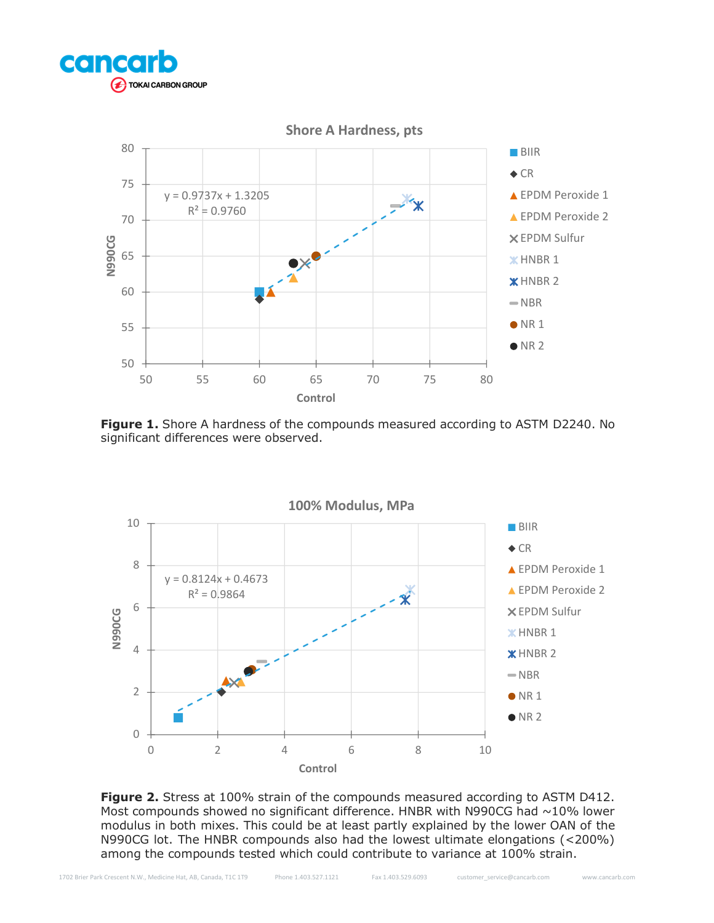



**Figure 1.** Shore A hardness of the compounds measured according to ASTM D2240. No significant differences were observed.



**Figure 2.** Stress at 100% strain of the compounds measured according to ASTM D412. Most compounds showed no significant difference. HNBR with N990CG had  $\sim$ 10% lower modulus in both mixes. This could be at least partly explained by the lower OAN of the N990CG lot. The HNBR compounds also had the lowest ultimate elongations (<200%) among the compounds tested which could contribute to variance at 100% strain.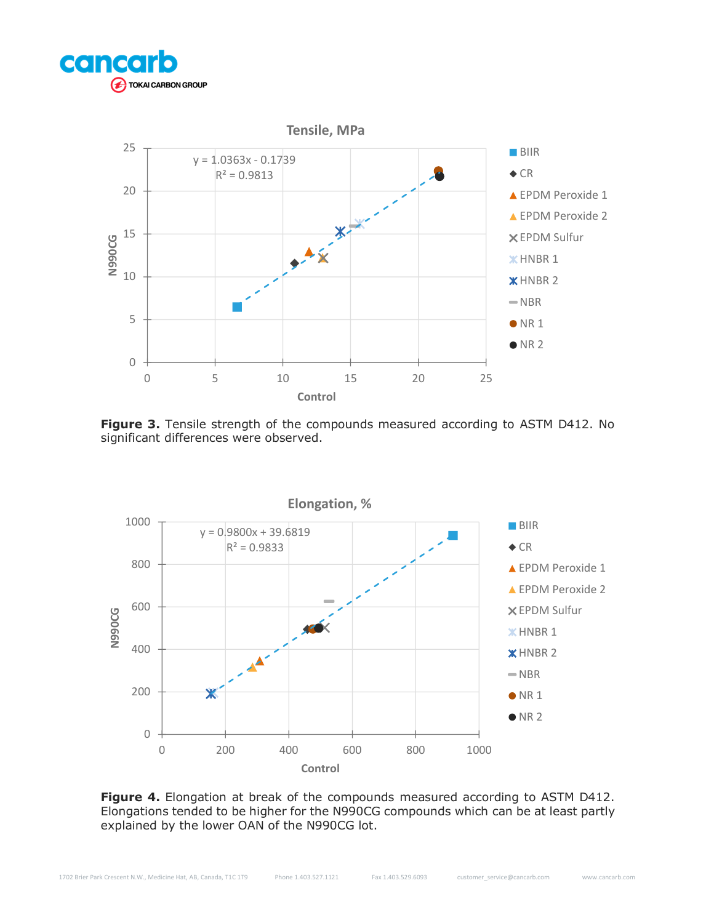



**Figure 3.** Tensile strength of the compounds measured according to ASTM D412. No significant differences were observed.



Figure 4. Elongation at break of the compounds measured according to ASTM D412. Elongations tended to be higher for the N990CG compounds which can be at least partly explained by the lower OAN of the N990CG lot.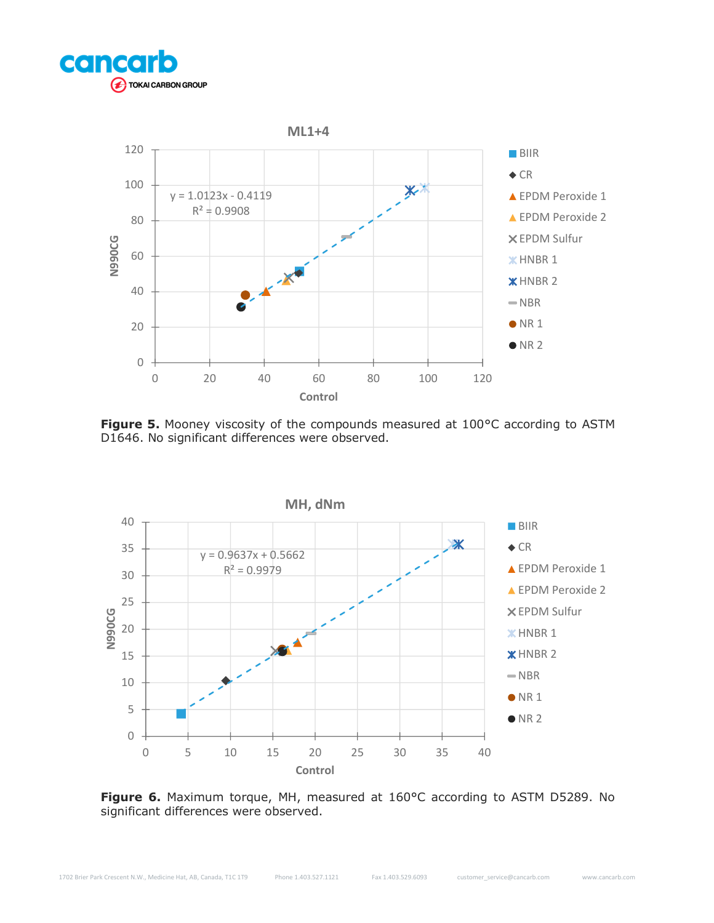



Figure 5. Mooney viscosity of the compounds measured at 100°C according to ASTM D1646. No significant differences were observed.



**Figure 6.** Maximum torque, MH, measured at 160°C according to ASTM D5289. No significant differences were observed.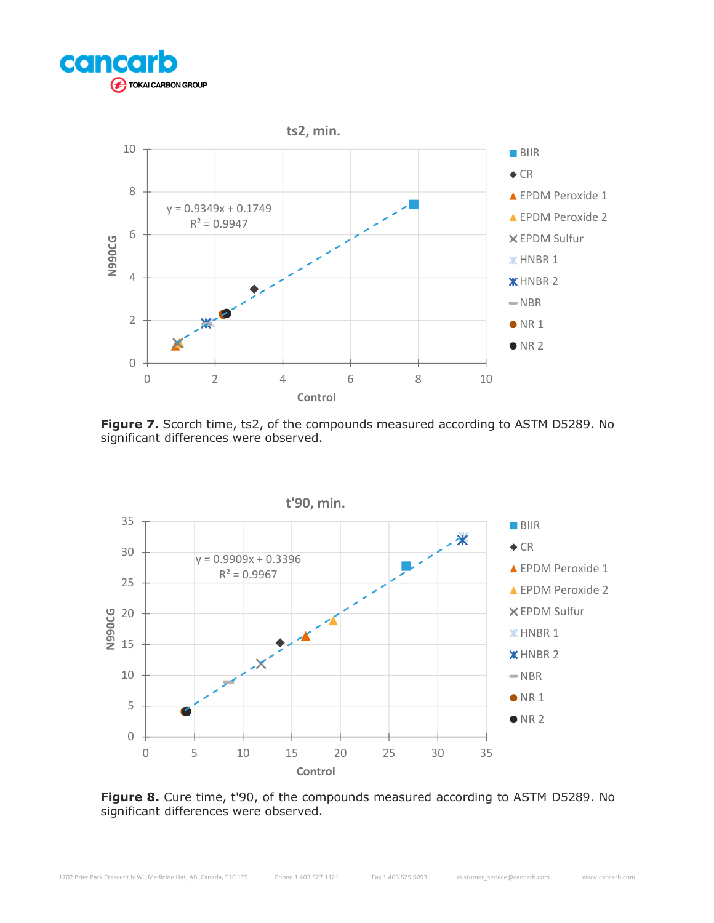



Figure 7. Scorch time, ts2, of the compounds measured according to ASTM D5289. No significant differences were observed.



Figure 8. Cure time, t'90, of the compounds measured according to ASTM D5289. No significant differences were observed.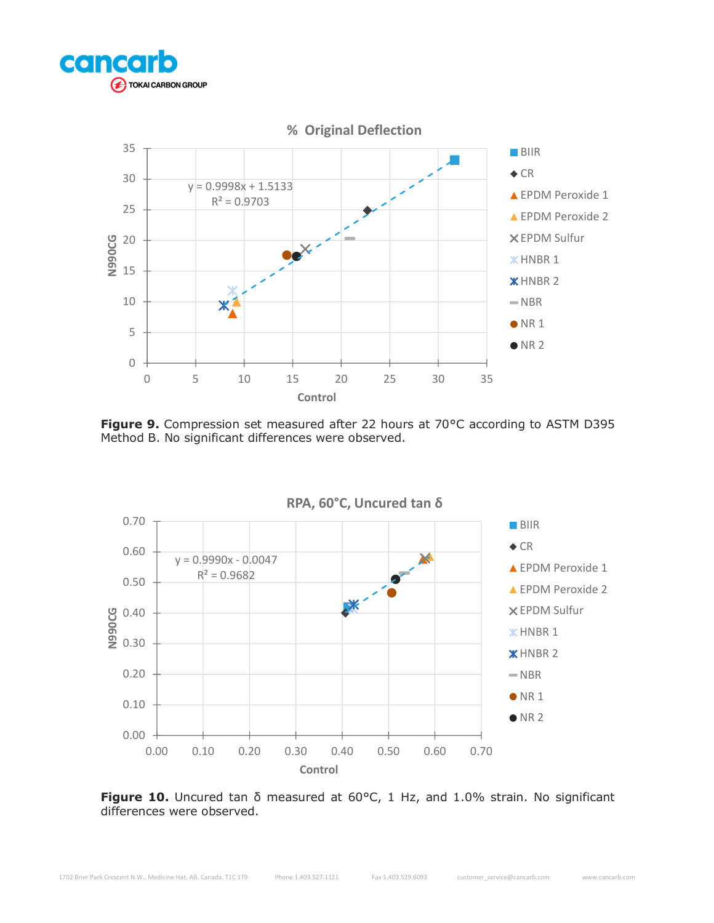



**Figure 9.** Compression set measured after 22 hours at 70°C according to ASTM D395 Method B. No significant differences were observed.



**Figure 10.** Uncured tan δ measured at 60°C, 1 Hz, and 1.0% strain. No significant differences were observed.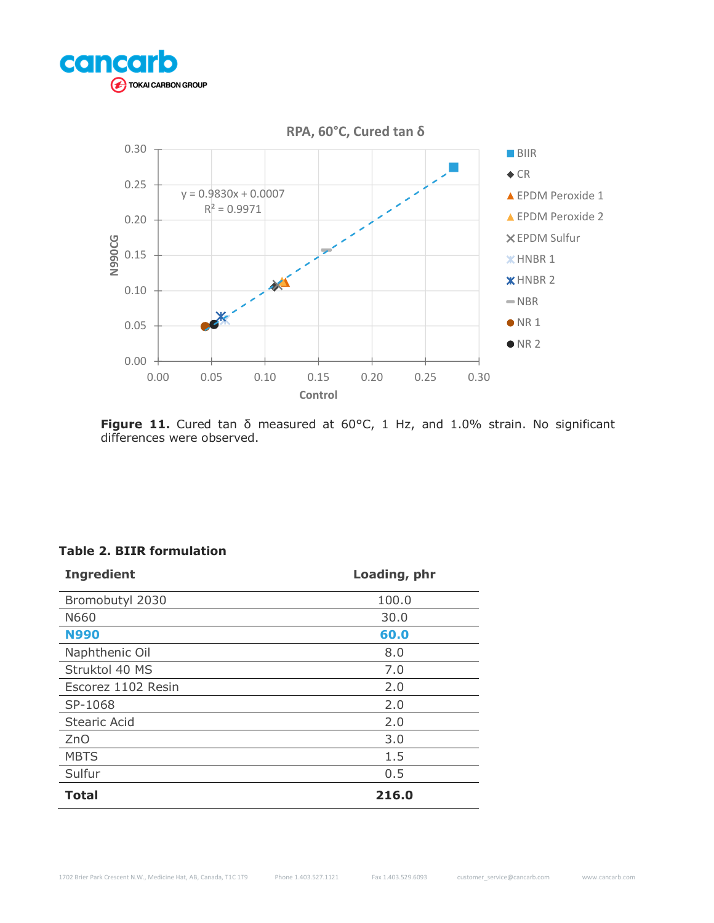



**Figure 11.** Cured tan δ measured at 60°C, 1 Hz, and 1.0% strain. No significant differences were observed.

# **Table 2. BIIR formulation**

| <b>Ingredient</b>   | Loading, phr |
|---------------------|--------------|
| Bromobutyl 2030     | 100.0        |
| N660                | 30.0         |
| <b>N990</b>         | 60.0         |
| Naphthenic Oil      | 8.0          |
| Struktol 40 MS      | 7.0          |
| Escorez 1102 Resin  | 2.0          |
| SP-1068             | 2.0          |
| <b>Stearic Acid</b> | 2.0          |
| ZnO                 | 3.0          |
| <b>MBTS</b>         | 1.5          |
| Sulfur              | 0.5          |
| <b>Total</b>        | 216.0        |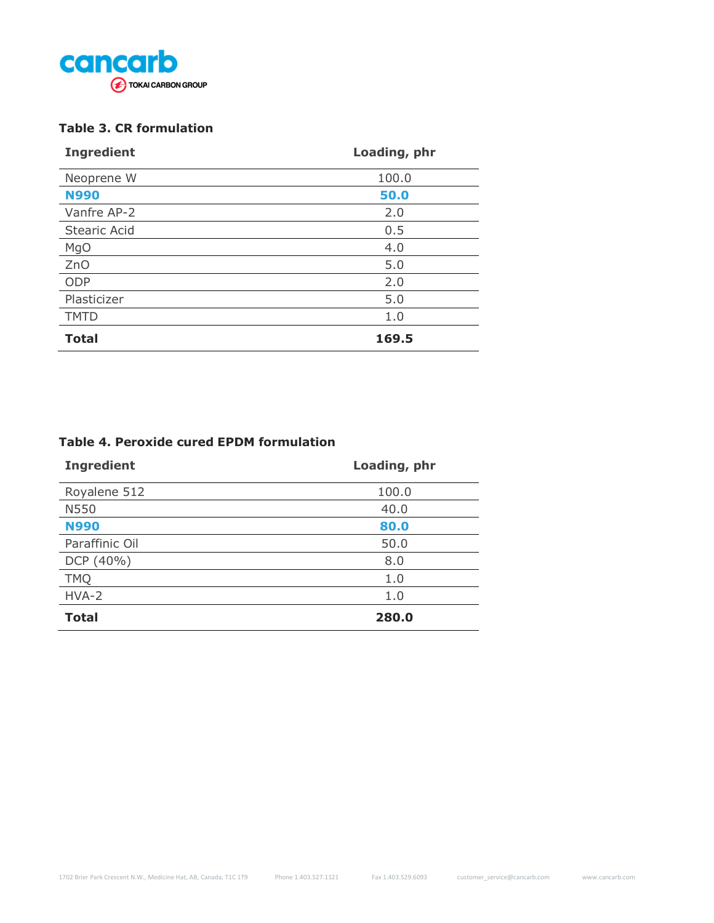

## **Table 3. CR formulation**

| <b>Ingredient</b>   | Loading, phr |
|---------------------|--------------|
| Neoprene W          | 100.0        |
| <b>N990</b>         | 50.0         |
| Vanfre AP-2         | 2.0          |
| <b>Stearic Acid</b> | 0.5          |
| <b>MgO</b>          | 4.0          |
| ZnO                 | 5.0          |
| ODP                 | 2.0          |
| Plasticizer         | 5.0          |
| <b>TMTD</b>         | 1.0          |
| <b>Total</b>        | 169.5        |

#### **Table 4. Peroxide cured EPDM formulation**

| <b>Ingredient</b> | Loading, phr |
|-------------------|--------------|
| Royalene 512      | 100.0        |
| N550              | 40.0         |
| <b>N990</b>       | 80.0         |
| Paraffinic Oil    | 50.0         |
| DCP (40%)         | 8.0          |
| <b>TMQ</b>        | 1.0          |
| HVA-2             | 1.0          |
| <b>Total</b>      | 280.0        |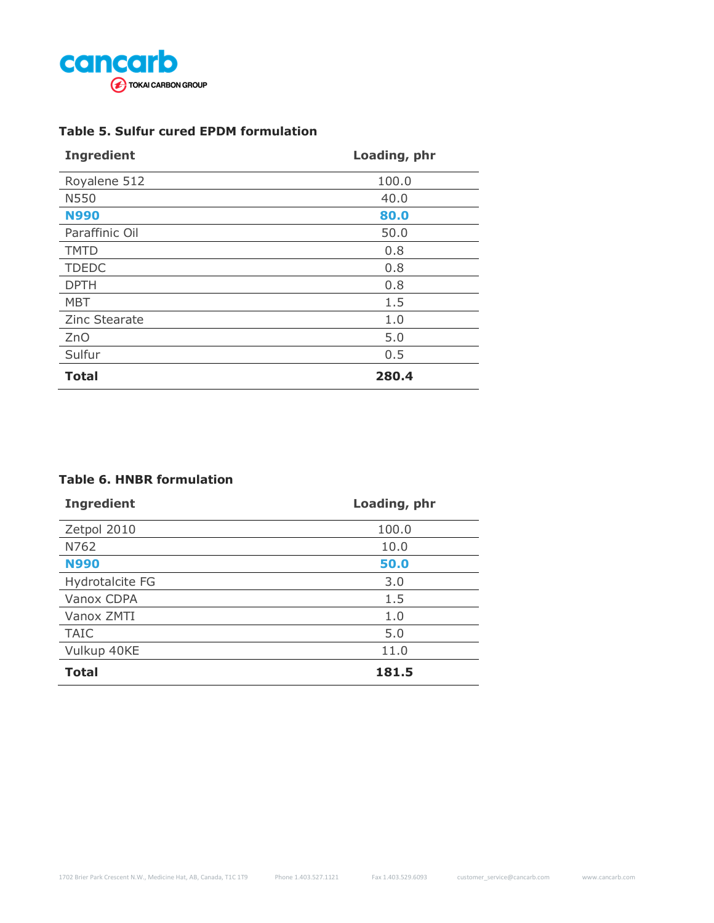

# **Table 5. Sulfur cured EPDM formulation**

| <b>Ingredient</b> | Loading, phr |
|-------------------|--------------|
| Royalene 512      | 100.0        |
| N550              | 40.0         |
| <b>N990</b>       | 80.0         |
| Paraffinic Oil    | 50.0         |
| <b>TMTD</b>       | 0.8          |
| <b>TDEDC</b>      | 0.8          |
| <b>DPTH</b>       | 0.8          |
| <b>MBT</b>        | 1.5          |
| Zinc Stearate     | 1.0          |
| ZnO               | 5.0          |
| Sulfur            | 0.5          |
| <b>Total</b>      | 280.4        |

### **Table 6. HNBR formulation**

| <b>Ingredient</b> | Loading, phr |
|-------------------|--------------|
| Zetpol 2010       | 100.0        |
| N762              | 10.0         |
| <b>N990</b>       | 50.0         |
| Hydrotalcite FG   | 3.0          |
| Vanox CDPA        | 1.5          |
| Vanox ZMTI        | 1.0          |
| <b>TAIC</b>       | 5.0          |
| Vulkup 40KE       | 11.0         |
| <b>Total</b>      | 181.5        |